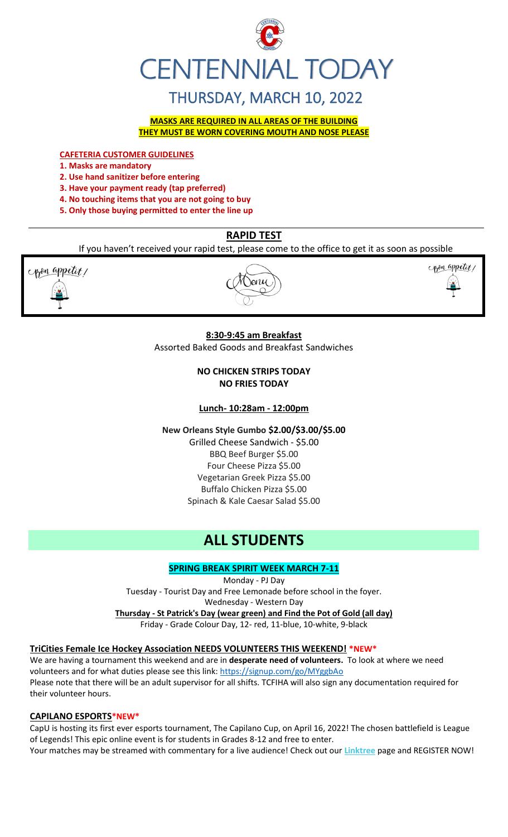

# THURSDAY, MARCH 10, 2022

**MASKS ARE REQUIRED IN ALL AREAS OF THE BUILDING THEY MUST BE WORN COVERING MOUTH AND NOSE PLEASE**

**CAFETERIA CUSTOMER GUIDELINES**

- **1. Masks are mandatory**
- **2. Use hand sanitizer before entering**
- **3. Have your payment ready (tap preferred)**
- **4. No touching items that you are not going to buy**
- **5. Only those buying permitted to enter the line up**

# **RAPID TEST**

If you haven't received your rapid test, please come to the office to get it as soon as possible



# **8:30-9:45 am Breakfast**

Assorted Baked Goods and Breakfast Sandwiches

# **NO CHICKEN STRIPS TODAY NO FRIES TODAY**

**Lunch- 10:28am - 12:00pm**

**New Orleans Style Gumbo \$2.00/\$3.00/\$5.00**

Grilled Cheese Sandwich - \$5.00 BBQ Beef Burger \$5.00 Four Cheese Pizza \$5.00 Vegetarian Greek Pizza \$5.00 Buffalo Chicken Pizza \$5.00 Spinach & Kale Caesar Salad \$5.00

# **ALL STUDENTS**

# **SPRING BREAK SPIRIT WEEK MARCH 7-11**

Monday - PJ Day Tuesday - Tourist Day and Free Lemonade before school in the foyer. Wednesday - Western Day **Thursday - St Patrick's Day (wear green) and Find the Pot of Gold (all day)** Friday - Grade Colour Day, 12- red, 11-blue, 10-white, 9-black

## **TriCities Female Ice Hockey Association NEEDS VOLUNTEERS THIS WEEKEND! \*NEW\***

We are having a tournament this weekend and are in **desperate need of volunteers.** To look at where we need volunteers and for what duties please see this link:<https://signup.com/go/MYggbAo> Please note that there will be an adult supervisor for all shifts. TCFIHA will also sign any documentation required for their volunteer hours.

### **CAPILANO ESPORTS\*NEW\***

CapU is hosting its first ever esports tournament, The Capilano Cup, on April 16, 2022! The chosen battlefield is League of Legends! This epic online event is for students in Grades 8-12 and free to enter. Your matches may be streamed with commentary for a live audience! Check out our **[Linktree](https://r20.rs6.net/tn.jsp?f=001TV5t6hvFEFpmqZ2KIJsRm_8_tZvmBTskK5EZhuhAwnd-AsBblXHT0oLCkv240W_X6yn70vNSoZMhpHydzQFokmFJte1QihkOmWyHEEdpefQQkF2m95hL64lqlrIm0DP1OmyM7kg-aupFxN5c0Zflag==&c=xWxYCxrh0jI56wNEyWlUltDjoDxbuS7cAkcm-CGdbhXD_wkXysw4wQ==&ch=hXVfGtAgW-ZP40ONb-DXcfozpnjfYR8-9naNHp1boINpgvZcTLJVsw==)** page and REGISTER NOW!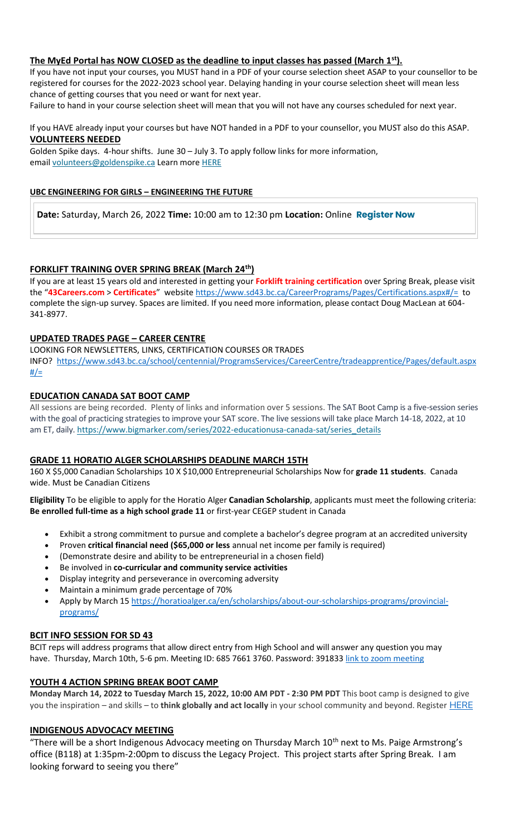# **The MyEd Portal has NOW CLOSED as the deadline to input classes has passed (March 1st).**

If you have not input your courses, you MUST hand in a PDF of your course selection sheet ASAP to your counsellor to be registered for courses for the 2022-2023 school year. Delaying handing in your course selection sheet will mean less chance of getting courses that you need or want for next year.

Failure to hand in your course selection sheet will mean that you will not have any courses scheduled for next year.

If you HAVE already input your courses but have NOT handed in a PDF to your counsellor, you MUST also do this ASAP. **VOLUNTEERS NEEDED**

Golden Spike days. 4-hour shifts. June 30 – July 3. To apply follow links for more information, email [volunteers@goldenspike.ca](mailto:volunteers@goldenspike.ca) Learn more [HERE](https://c-wm904.na1.hubspotlinksfree.com/Btc/W2+113/c-WM904/DWYfY3svlvW3Tbr0z7KVxn8W4KxtYX4FW50JN7dHCvk3lSc3V1-WJV7CgMxbV3smF85QT2hwW6lg1KY32M9PdW8NkZrN3cg7-QW76CRwD8r4jH4W7yTh8Y1XQGMzW7B5FQg7M6KW5W87mWdX3ktK-DW23Gt8Y4CscWkW1mT9Fy5H89ZqW66gSc76qLs_3W3XXTn22MFw35N2zGF_JjZ_QJW85NX_j2kB6QzW7nS80g3_fsx_W6jswXn4S5Wj4W4H8K9n4lzxsWW5tkCB526gmzbW5zvnGd1VjFzDW5pWbf47fdpVNN2gTyRbmvWF9N8xzMDZ7znvrW6Hg6PD4sTt8cW7mdYm-1qJZdfW1z0CgP7DZkhF37Qj1)

### **UBC ENGINEERING FOR GIRLS – ENGINEERING THE FUTURE**

**Date:** Saturday, March 26, 2022 **Time:** 10:00 am to 12:30 pm **Location:** Online **[Register Now](https://usend.ubc.ca/sendy/l/rIVID892cGlXFhKkqDAP4pPw/2KZZzB8auY0CbfN3AeQQPQ/2NVMXaF6kwoqb0Zu2zyabA)**

### **FORKLIFT TRAINING OVER SPRING BREAK (March 24th)**

If you are at least 15 years old and interested in getting your **Forklift training certification** over Spring Break, please visit the "**43Careers.com** > **Certificates**" websit[e https://www.sd43.bc.ca/CareerPrograms/Pages/Certifications.aspx#/=](https://www.sd43.bc.ca/CareerPrograms/Pages/Certifications.aspx#/=) to complete the sign-up survey. Spaces are limited. If you need more information, please contact Doug MacLean at 604- 341-8977.

### **UPDATED TRADES PAGE – CAREER CENTRE**

LOOKING FOR NEWSLETTERS, LINKS, CERTIFICATION COURSES OR TRADES INFO? [https://www.sd43.bc.ca/school/centennial/ProgramsServices/CareerCentre/tradeapprentice/Pages/default.aspx](https://www.sd43.bc.ca/school/centennial/ProgramsServices/CareerCentre/tradeapprentice/Pages/default.aspx#/=)  $#/=$ 

### **EDUCATION CANADA SAT BOOT CAMP**

All sessions are being recorded. Plenty of links and information over 5 sessions. The SAT Boot Camp is a five-session series with the goal of practicing strategies to improve your SAT score. The live sessions will take place March 14-18, 2022, at 10 am ET, daily. [https://www.bigmarker.com/series/2022-educationusa-canada-sat/series\\_details](https://www.bigmarker.com/series/2022-educationusa-canada-sat/series_details)

### **GRADE 11 HORATIO ALGER SCHOLARSHIPS DEADLINE MARCH 15TH**

160 X \$5,000 Canadian Scholarships 10 X \$10,000 Entrepreneurial Scholarships Now for **grade 11 students**. Canada wide. Must be Canadian Citizens

**Eligibility** To be eligible to apply for the Horatio Alger **Canadian Scholarship**, applicants must meet the following criteria: **Be enrolled full-time as a high school grade 11** or first-year CEGEP student in Canada

- Exhibit a strong commitment to pursue and complete a bachelor's degree program at an accredited university
- Proven **critical financial need (\$65,000 or less** annual net income per family is required)
- (Demonstrate desire and ability to be entrepreneurial in a chosen field)
- Be involved in **co-curricular and community service activities**
- Display integrity and perseverance in overcoming adversity
- Maintain a minimum grade percentage of 70%
- Apply by March 15 [https://horatioalger.ca/en/scholarships/about-our-scholarships-programs/provincial](https://horatioalger.ca/en/scholarships/about-our-scholarships-programs/provincial-programs/)[programs/](https://horatioalger.ca/en/scholarships/about-our-scholarships-programs/provincial-programs/)

### **BCIT INFO SESSION FOR SD 43**

BCIT reps will address programs that allow direct entry from High School and will answer any question you may have. Thursday, March 10th, 5-6 pm. Meeting ID: 685 7661 3760. Password: 391833 [link to zoom meeting](https://bcit.zoom.us/j/68576613760?pwd=UkwrYjVZQVVrWUdXdFVXdEpGQXBOQT09#success)

### **YOUTH 4 ACTION SPRING BREAK BOOT CAMP**

**Monday March 14, 2022 to Tuesday March 15, 2022, 10:00 AM PDT - 2:30 PM PDT** This boot camp is designed to give you the inspiration – and skills – to **think globally and act locally** in your school community and beyond. Register [HERE](https://registration.metrovancouver.org/youth4action/Pages/Think-Global-Plan-Lead-Local-Mar14-15.aspx)

### **INDIGENOUS ADVOCACY MEETING**

"There will be a short Indigenous Advocacy meeting on Thursday March 10<sup>th</sup> next to Ms. Paige Armstrong's office (B118) at 1:35pm-2:00pm to discuss the Legacy Project. This project starts after Spring Break. I am looking forward to seeing you there"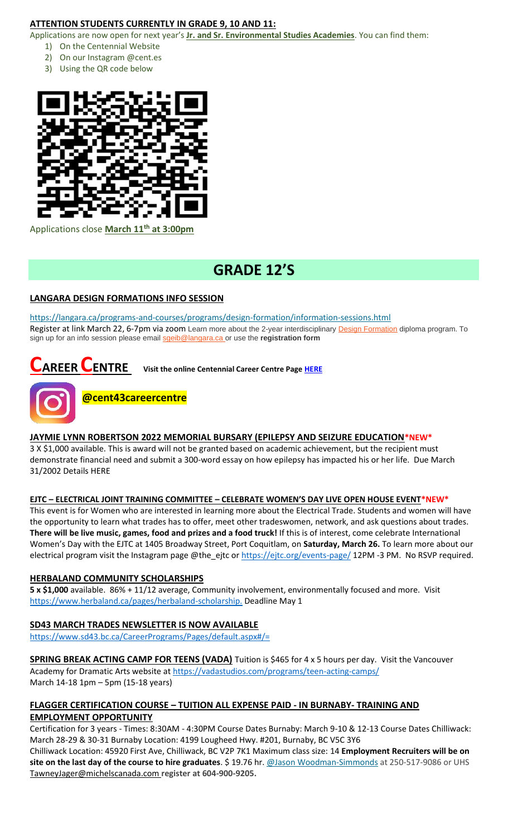# **ATTENTION STUDENTS CURRENTLY IN GRADE 9, 10 AND 11:**

Applications are now open for next year's **Jr. and Sr. Environmental Studies Academies**. You can find them:

- 1) On the Centennial Website
- 2) On our Instagram @cent.es
- 3) Using the QR code below



Applications close **March 11th at 3:00pm**

# **GRADE 12'S**

# **LANGARA DESIGN FORMATIONS INFO SESSION**

<https://langara.ca/programs-and-courses/programs/design-formation/information-sessions.html> Register at link March 22, 6-7pm via zoom Learn more about the 2-year interdisciplinary [Design Formation](https://langara.ca/programs-and-courses/programs/design-formation/index.html) diploma program. To sign up for an info session please email [sgeib@langara.ca](mailto:sgeib@langara.ca) or use the **registration form**

# **CAREER CENTRE** Visit the online Centennial Career Centre Page [HERE](https://www.sd43.bc.ca/school/centennial/ProgramsServices/CareerCentre/experiences/Pages/default.aspx#/=)



# **@cent43careercentre**

# **JAYMIE LYNN ROBERTSON 2022 MEMORIAL BURSARY (EPILEPSY AND SEIZURE EDUCATION\*NEW\***

3 X \$1,000 available. This is award will not be granted based on academic achievement, but the recipient must demonstrate financial need and submit a 300-word essay on how epilepsy has impacted his or her life. Due March 31/2002 Details [HERE](https://www.sd43.bc.ca/school/centennial/ProgramsServices/CareerCentre/financeawards/Pages/default.aspx#/=)

# **EJTC – ELECTRICAL JOINT TRAINING COMMITTEE – CELEBRATE WOMEN'S DAY LIVE OPEN HOUSE EVENT\*NEW\***

This event is for Women who are interested in learning more about the Electrical Trade. Students and women will have the opportunity to learn what trades has to offer, meet other tradeswomen, network, and ask questions about trades. **There will be live music, games, food and prizes and a food truck!** If this is of interest, come celebrate International Women's Day with the EJTC at 1405 Broadway Street, Port Coquitlam, on **Saturday, March 26.** To learn more about our electrical program visit the Instagram page @the\_ejtc or<https://ejtc.org/events-page/> 12PM -3 PM. No RSVP required.

# **HERBALAND COMMUNITY SCHOLARSHIPS**

**5 x \$1,000** available. 86% + 11/12 average, Community involvement, environmentally focused and more. Visit [https://www.herbaland.ca/pages/herbaland-scholarship.](https://www.herbaland.ca/pages/herbaland-scholarship) Deadline May 1

# **SD43 MARCH TRADES NEWSLETTER IS NOW AVAILABLE**

<https://www.sd43.bc.ca/CareerPrograms/Pages/default.aspx#/=>

**SPRING BREAK ACTING CAMP FOR TEENS (VADA)** Tuition is \$465 for 4 x 5 hours per day. Visit the Vancouver Academy for Dramatic Arts website at<https://vadastudios.com/programs/teen-acting-camps/> March 14-18 1pm – 5pm (15-18 years)

# **FLAGGER CERTIFICATION COURSE – TUITION ALL EXPENSE PAID - IN BURNABY- TRAINING AND EMPLOYMENT OPPORTUNITY**

Certification for 3 years - Times: 8:30AM - 4:30PM Course Dates Burnaby: March 9-10 & 12-13 Course Dates Chilliwack: March 28-29 & 30-31 Burnaby Location: 4199 Lougheed Hwy. #201, Burnaby, BC V5C 3Y6

Chilliwack Location: 45920 First Ave, Chilliwack, BC V2P 7K1 Maximum class size: 14 **Employment Recruiters will be on site on the last day of the course to hire graduates**. \$ 19.76 hr. [@Jason Woodman-Simmonds](mailto:JasonWoodman-Simmonds@michelscanada.com) at 250-517-9086 or UHS [TawneyJager@michelscanada.com](mailto:TawneyJager@michelscanada.com) **register at 604-900-9205.**